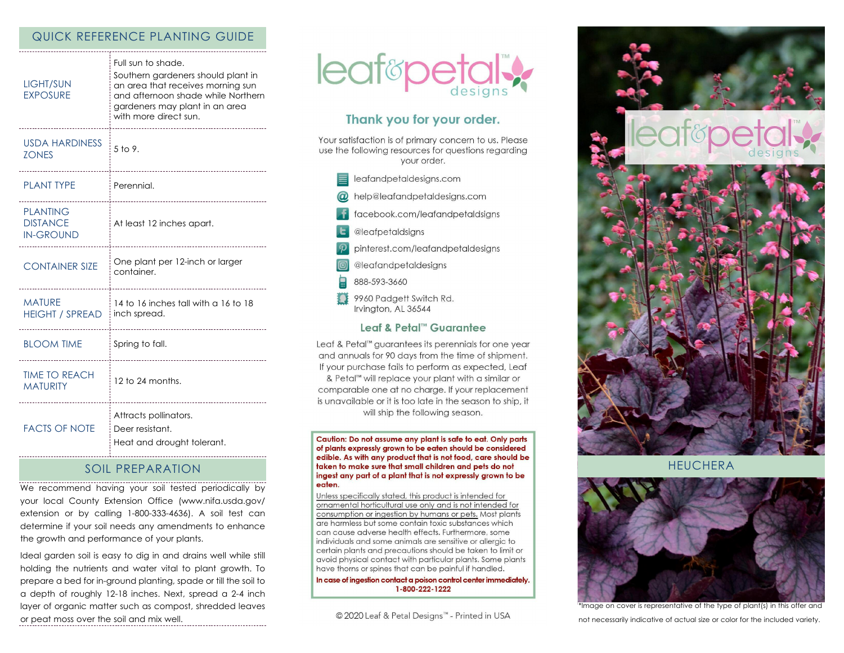# QUICK REFERENCE PLANTING GUIDE

| <b>LIGHT/SUN</b><br><b>EXPOSURE</b>                    | Full sun to shade.<br>Southern gardeners should plant in<br>an area that receives morning sun<br>and afternoon shade while Northern<br>gardeners may plant in an area<br>with more direct sun. |
|--------------------------------------------------------|------------------------------------------------------------------------------------------------------------------------------------------------------------------------------------------------|
| <b>USDA HARDINESS</b><br><b>ZONES</b>                  | $5$ to 9.                                                                                                                                                                                      |
| <b>PLANT TYPE</b>                                      | Perennial.                                                                                                                                                                                     |
| <b>PLANTING</b><br><b>DISTANCE</b><br><b>IN-GROUND</b> | At least 12 inches apart.                                                                                                                                                                      |
| <b>CONTAINER SIZE</b>                                  | One plant per 12-inch or larger<br>container.                                                                                                                                                  |
| <b>MATURE</b><br><b>HEIGHT / SPREAD</b>                | 14 to 16 inches tall with a 16 to 18<br>inch spread.                                                                                                                                           |
| <b>BLOOM TIME</b>                                      | Spring to fall.                                                                                                                                                                                |
| <b>TIME TO REACH</b><br><b>MATURITY</b>                | 12 to 24 months.                                                                                                                                                                               |
| <b>FACTS OF NOTE</b>                                   | Attracts pollinators.<br>Deer resistant.<br>Heat and drought tolerant.                                                                                                                         |

# SOIL PREPARATION

We recommend having your soil tested periodically by your local County Extension Office (www.nifa.usda.gov/ extension or by calling 1-800-333-4636). A soil test can determine if your soil needs any amendments to enhance the growth and performance of your plants.

Ideal garden soil is easy to dig in and drains well while still holding the nutrients and water vital to plant growth. To prepare a bed for in-ground planting, spade or till the soil to a depth of roughly 12-18 inches. Next, spread a 2-4 inch layer of organic matter such as compost, shredded leaves or peat moss over the soil and mix well.



# Thank you for your order.

Your satisfaction is of primary concern to us. Please use the following resources for questions regarding your order.

- $\equiv$  leafandpetaldesigns.com
- @ help@leafandpetaldesigns.com
- **i** facebook.com/leafandpetaldsigns
- **L** @leafpetaldsigns
- pinterest.com/leafandpetaldesigns
- @leafandpetaldesigns
- 888-593-3660
- 9960 Padgett Switch Rd. Irvington, AL 36544

#### Leaf & Petal™ Guarantee

Leaf & Petal™ guarantees its perennials for one year and annuals for 90 days from the time of shipment. If your purchase fails to perform as expected, Leaf & Petal<sup>™</sup> will replace your plant with a similar or comparable one at no charge. If your replacement is unavailable or it is too late in the season to ship, it will ship the following season.

Caution: Do not assume any plant is safe to eat. Only parts of plants expressly grown to be eaten should be considered edible. As with any product that is not food, care should be taken to make sure that small children and pets do not ingest any part of a plant that is not expressly grown to be eaten.

Unless specifically stated, this product is intended for ornamental horticultural use only and is not intended for consumption or ingestion by humans or pets. Most plants are harmless but some contain toxic substances which can cause adverse health effects. Furthermore, some individuals and some animals are sensitive or allergic to certain plants and precautions should be taken to limit or avoid physical contact with particular plants. Some plants have thorns or spines that can be painful if handled.

In case of ingestion contact a poison control center immediately. 1-800-222-1222

© 2020 Leaf & Petal Designs™ - Printed in USA



**HEUCHERA** 



\*Image on cover is representative of the type of plant(s) in this offer and not necessarily indicative of actual size or color for the included variety.